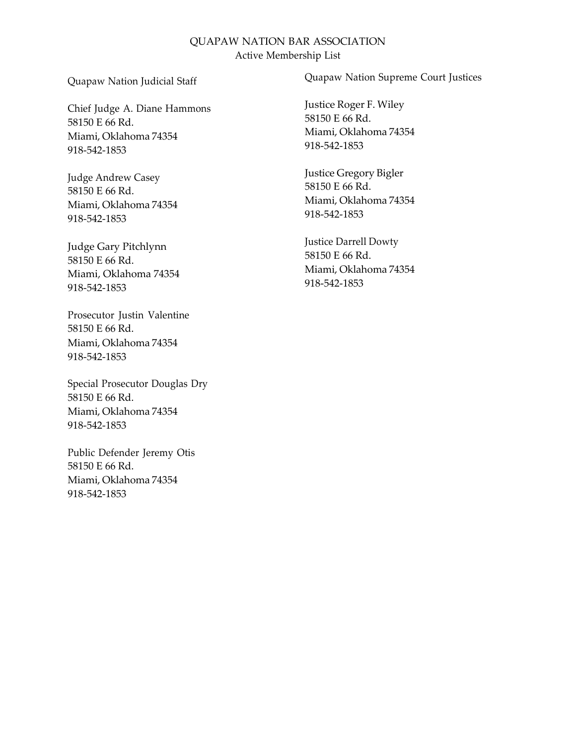### Quapaw Nation Judicial Staff

Chief Judge A. Diane Hammons 58150 E 66 Rd. Miami, Oklahoma 74354 918-542-1853

Judge Andrew Casey 58150 E 66 Rd. Miami, Oklahoma 74354 918-542-1853

Judge Gary Pitchlynn 58150 E 66 Rd. Miami, Oklahoma 74354 918-542-1853

Prosecutor Justin Valentine 58150 E 66 Rd. Miami, Oklahoma 74354 918-542-1853

Special Prosecutor Douglas Dry 58150 E 66 Rd. Miami, Oklahoma 74354 918-542-1853

Public Defender Jeremy Otis 58150 E 66 Rd. Miami, Oklahoma 74354 918-542-1853

Quapaw Nation Supreme Court Justices

Justice Roger F. Wiley 58150 E 66 Rd. Miami, Oklahoma 74354 918-542-1853

Justice Gregory Bigler 58150 E 66 Rd. Miami, Oklahoma 74354 918-542-1853

Justice Darrell Dowty 58150 E 66 Rd. Miami, Oklahoma 74354 918-542-1853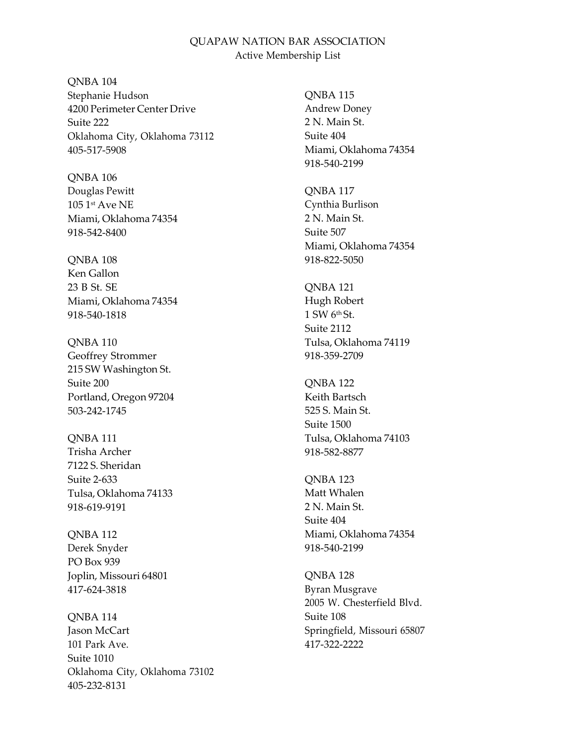QNBA 104 Stephanie Hudson 4200 Perimeter Center Drive Suite 222 Oklahoma City, Oklahoma 73112 405-517-5908

QNBA 106 Douglas Pewitt 105 1 st Ave NE Miami, Oklahoma 74354 918-542-8400

QNBA 108 Ken Gallon 23 B St. SE Miami, Oklahoma 74354 918-540-1818

QNBA 110 Geoffrey Strommer 215 SW Washington St. Suite 200 Portland, Oregon 97204 503-242-1745

QNBA 111 Trisha Archer 7122 S. Sheridan Suite 2-633 Tulsa, Oklahoma 74133 918-619-9191

QNBA 112 Derek Snyder PO Box 939 Joplin, Missouri 64801 417-624-3818

QNBA 114 Jason McCart 101 Park Ave. Suite 1010 Oklahoma City, Oklahoma 73102 405-232-8131

QNBA 115 Andrew Doney 2 N. Main St. Suite 404 Miami, Oklahoma 74354 918-540-2199

QNBA 117 Cynthia Burlison 2 N. Main St. Suite 507 Miami, Oklahoma 74354 918-822-5050

QNBA 121 Hugh Robert 1 SW 6th St. Suite 2112 Tulsa, Oklahoma 74119 918-359-2709

QNBA 122 Keith Bartsch 525 S. Main St. Suite 1500 Tulsa, Oklahoma 74103 918-582-8877

QNBA 123 Matt Whalen 2 N. Main St. Suite 404 Miami, Oklahoma 74354 918-540-2199

QNBA 128 Byran Musgrave 2005 W. Chesterfield Blvd. Suite 108 Springfield, Missouri 65807 417-322-2222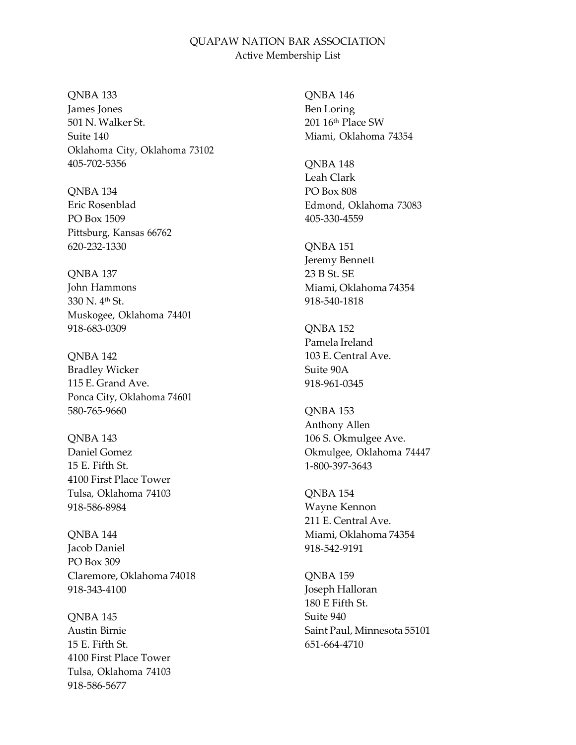#### QNBA 133

James Jones 501 N. Walker St. Suite 140 Oklahoma City, Oklahoma 73102 405-702-5356

QNBA 134 Eric Rosenblad PO Box 1509 Pittsburg, Kansas 66762 620-232-1330

QNBA 137 John Hammons 330 N. 4 th St. Muskogee, Oklahoma 74401 918-683-0309

QNBA 142 Bradley Wicker 115 E. Grand Ave. Ponca City, Oklahoma 74601 580-765-9660

QNBA 143 Daniel Gomez 15 E. Fifth St. 4100 First Place Tower Tulsa, Oklahoma 74103 918-586-8984

QNBA 144 Jacob Daniel PO Box 309 Claremore, Oklahoma 74018 918-343-4100

QNBA 145 Austin Birnie 15 E. Fifth St. 4100 First Place Tower Tulsa, Oklahoma 74103 918-586-5677

QNBA 146 Ben Loring 201 16th Place SW Miami, Oklahoma 74354

QNBA 148 Leah Clark PO Box 808 Edmond, Oklahoma 73083 405-330-4559

QNBA 151 Jeremy Bennett 23 B St. SE Miami, Oklahoma 74354 918-540-1818

QNBA 152 Pamela Ireland 103 E. Central Ave. Suite 90A 918-961-0345

QNBA 153 Anthony Allen 106 S. Okmulgee Ave. Okmulgee, Oklahoma 74447 1-800-397-3643

QNBA 154 Wayne Kennon 211 E. Central Ave. Miami, Oklahoma 74354 918-542-9191

QNBA 159 Joseph Halloran 180 E Fifth St. Suite 940 Saint Paul, Minnesota 55101 651-664-4710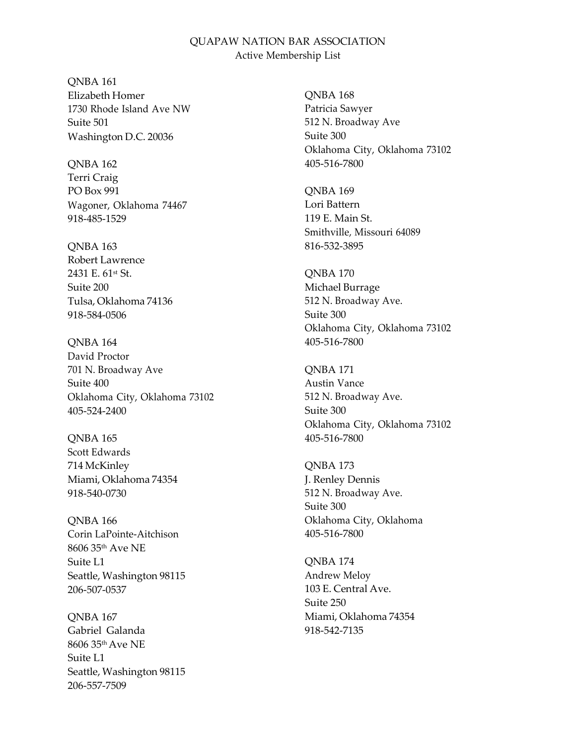QNBA 161 Elizabeth Homer 1730 Rhode Island Ave NW Suite 501 Washington D.C. 20036

QNBA 162 Terri Craig PO Box 991 Wagoner, Oklahoma 74467 918-485-1529

QNBA 163 Robert Lawrence 2431 E. 61st St. Suite 200 Tulsa, Oklahoma 74136 918-584-0506

QNBA 164 David Proctor 701 N. Broadway Ave Suite 400 Oklahoma City, Oklahoma 73102 405-524-2400

QNBA 165 Scott Edwards 714 McKinley Miami, Oklahoma 74354 918-540-0730

QNBA 166 Corin LaPointe-Aitchison 8606 35th Ave NE Suite L1 Seattle, Washington 98115 206-507-0537

QNBA 167 Gabriel Galanda 8606 35th Ave NE Suite L1 Seattle, Washington 98115 206-557-7509

QNBA 168 Patricia Sawyer 512 N. Broadway Ave Suite 300 Oklahoma City, Oklahoma 73102 405-516-7800

QNBA 169 Lori Battern 119 E. Main St. Smithville, Missouri 64089 816-532-3895

QNBA 170 Michael Burrage 512 N. Broadway Ave. Suite 300 Oklahoma City, Oklahoma 73102 405-516-7800

QNBA 171 Austin Vance 512 N. Broadway Ave. Suite 300 Oklahoma City, Oklahoma 73102 405-516-7800

QNBA 173 J. Renley Dennis 512 N. Broadway Ave. Suite 300 Oklahoma City, Oklahoma 405-516-7800

QNBA 174 Andrew Meloy 103 E. Central Ave. Suite 250 Miami, Oklahoma 74354 918-542-7135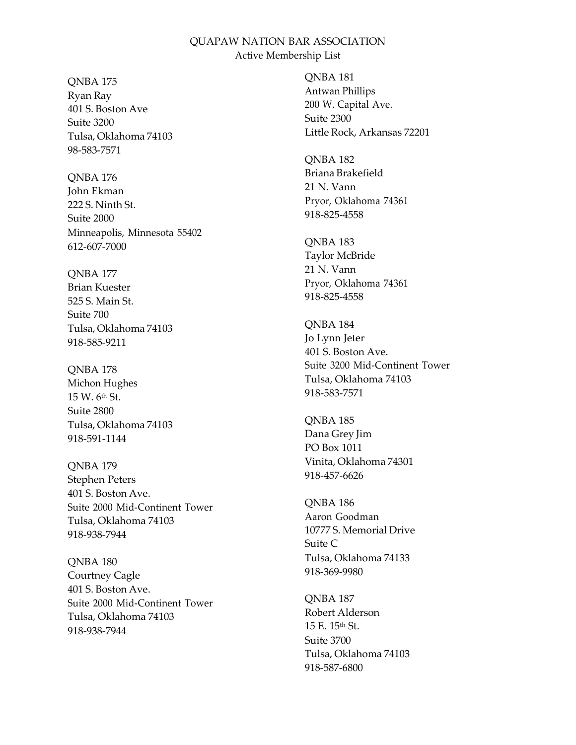QNBA 175 Ryan Ray 401 S. Boston Ave Suite 3200 Tulsa, Oklahoma 74103 98-583-7571

QNBA 176 John Ekman 222 S. Ninth St. Suite 2000 Minneapolis, Minnesota 55402 612-607-7000

QNBA 177 Brian Kuester 525 S. Main St. Suite 700 Tulsa, Oklahoma 74103 918-585-9211

QNBA 178 Michon Hughes  $15 W$ .  $6<sup>th</sup> St$ . Suite 2800 Tulsa, Oklahoma 74103 918-591-1144

QNBA 179 Stephen Peters 401 S. Boston Ave. Suite 2000 Mid-Continent Tower Tulsa, Oklahoma 74103 918-938-7944

QNBA 180 Courtney Cagle 401 S. Boston Ave. Suite 2000 Mid-Continent Tower Tulsa, Oklahoma 74103 918-938-7944

QNBA 181 Antwan Phillips 200 W. Capital Ave. Suite 2300 Little Rock, Arkansas 72201

QNBA 182 Briana Brakefield 21 N. Vann Pryor, Oklahoma 74361 918-825-4558

QNBA 183 Taylor McBride 21 N. Vann Pryor, Oklahoma 74361 918-825-4558

QNBA 184 Jo Lynn Jeter 401 S. Boston Ave. Suite 3200 Mid-Continent Tower Tulsa, Oklahoma 74103 918-583-7571

QNBA 185 Dana Grey Jim PO Box 1011 Vinita, Oklahoma 74301 918-457-6626

QNBA 186 Aaron Goodman 10777 S. Memorial Drive Suite C Tulsa, Oklahoma 74133 918-369-9980

QNBA 187 Robert Alderson 15 E. 15th St. Suite 3700 Tulsa, Oklahoma 74103 918-587-6800